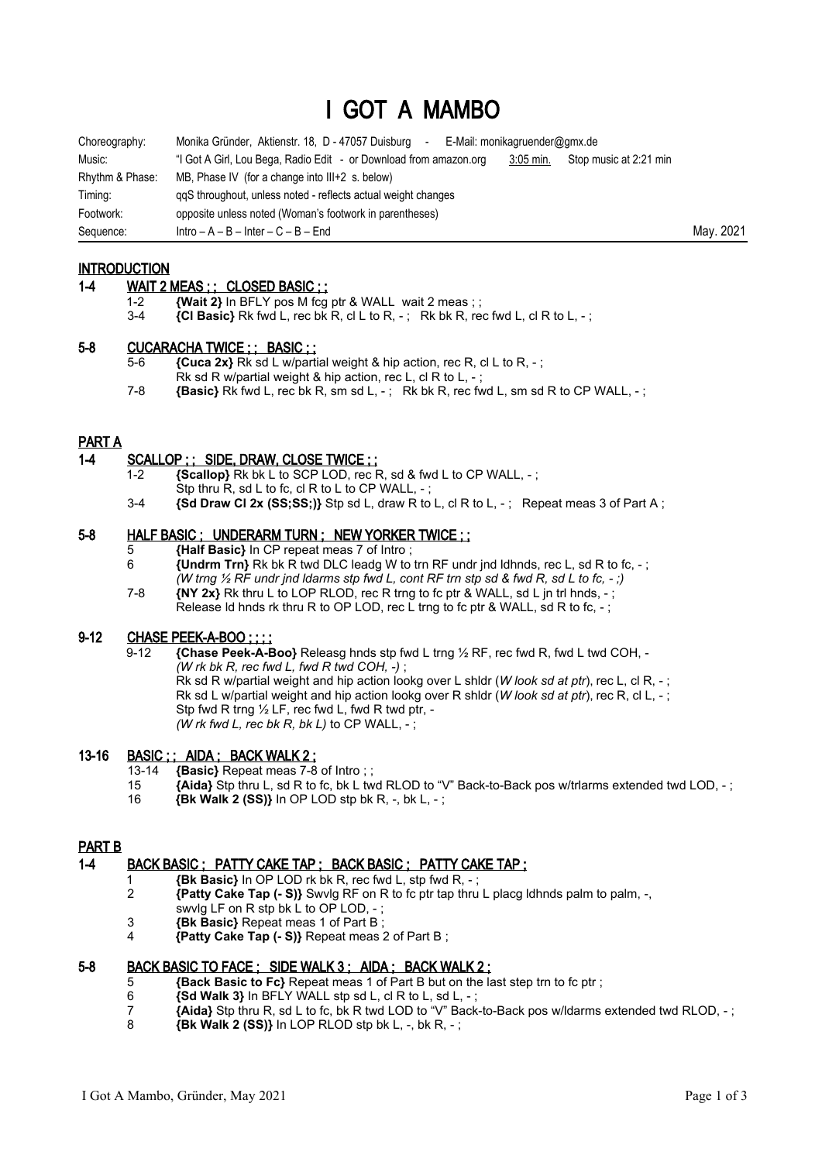# I GOT A MAMBO

| Choreography:   | Monika Gründer, Aktienstr. 18, D - 47057 Duisburg<br>E-Mail: monikagruender@gmx.de<br>$\sim$               |           |
|-----------------|------------------------------------------------------------------------------------------------------------|-----------|
| Music:          | "I Got A Girl, Lou Bega, Radio Edit - or Download from amazon.org<br>$3:05$ min.<br>Stop music at 2:21 min |           |
| Rhythm & Phase: | MB, Phase IV (for a change into $III+2$ s. below)                                                          |           |
| Timing:         | ggS throughout, unless noted - reflects actual weight changes                                              |           |
| Footwork:       | opposite unless noted (Woman's footwork in parentheses)                                                    |           |
| Sequence:       | $Intro - A - B - Inter - C - B - End$                                                                      | May. 2021 |

**INTRODUCTION** 

# 1-4 WAIT 2 MEAS ; ; CLOSED BASIC ; ;

- 1-2 **{Wait 2}** In BFLY pos M fcg ptr & WALL wait 2 meas;;<br>3-4 **{CI Basic}** Rk fwd I rec bk R cI I to R : Rk bk R re
- ${Cl}$  **Basic}** Rk fwd L, rec bk R, cl L to R, -; Rk bk R, rec fwd L, cl R to L, -;

#### 5-8 CUCARACHA TWICE ; ; BASIC ; ;

- 5-6 **{Cuca 2x}** Rk sd L w/partial weight & hip action, rec R, cl L to R, ;
	- Rk sd R w/partial weight & hip action, rec L, cl R to L, -
- 7-8 **{Basic}** Rk fwd L, rec bk R, sm sd L, -; Rk bk R, rec fwd L, sm sd R to CP WALL, -;

#### PART A

## 1-4 SCALLOP ; ; SIDE, DRAW, CLOSE TWICE ; ;

- 1-2 **{Scallop}** Rk bk L to SCP LOD, rec R, sd & fwd L to CP WALL, ;
	- Stp thru  $\overline{R}$ , sd L to fc, cl R to L to CP WALL, -;
- 3-4 **{Sd Draw Cl 2x (SS;SS;)}** Stp sd L, draw R to L, cl R to L, -; Repeat meas 3 of Part A;

# 5-8 HALF BASIC ; UNDERARM TURN ; NEW YORKER TWICE ; ;

- 5 **{Half Basic}** In CP repeat meas 7 of Intro ;
- 6 **{Undrm Trn}** Rk bk R twd DLC leadg W to trn RF undr jnd ldhnds, rec L, sd R to fc, ; *(W trng ½ RF undr jnd ldarms stp fwd L, cont RF trn stp sd & fwd R, sd L to fc, - ;)*
- 7-8 **{NY 2x}** Rk thru L to LOP RLOD, rec R trng to fc ptr & WALL, sd L jn trl hnds, ; Release Id hnds rk thru R to OP LOD, rec L trng to fc ptr & WALL, sd R to fc, -;

#### 9-12 CHASE PEEK-A-BOO ; ; ; ;

 9-12 **{Chase Peek-A-Boo}** Releasg hnds stp fwd L trng ½ RF, rec fwd R, fwd L twd COH, - *(W rk bk R, rec fwd L, fwd R twd COH, -)* ; Rk sd R w/partial weight and hip action lookg over L shldr (*W look sd at ptr*), rec L, cl R, - ; Rk sd L w/partial weight and hip action lookg over R shldr (*W look sd at ptr*), rec R, cl L, - ; Stp fwd R trng ½ LF, rec fwd L, fwd R twd ptr, -

*(W rk fwd L, rec bk R, bk L)* to CP WALL,  $-$ 

## 13-16 **BASIC :: AIDA ; BACK WALK 2 ;**

- 13-14 **{Basic}** Repeat meas 7-8 of Intro ; ;
- 15 **{Aida}** Stp thru L, sd R to fc, bk L twd RLOD to "V" Back-to-Back pos w/trlarms extended twd LOD, ;
- 16 **{Bk Walk 2 (SS)}** In OP LOD stp bk R, -, bk L, ;

## PART B

## 1-4 BACK BASIC ; PATTY CAKE TAP ; BACK BASIC ; PATTY CAKE TAP ;

- 1 **{Bk Basic}** In OP LOD rk bk R, rec fwd L, stp fwd R, ;
- 2 **{Patty Cake Tap (- S)}** Swvlg RF on R to fc ptr tap thru L placg ldhnds palm to palm, -, swvlg LF on R stp bk L to OP LOD, - ;
- 3 **{Bk Basic}** Repeat meas 1 of Part B ;
- 4 **{Patty Cake Tap (- S)}** Repeat meas 2 of Part B ;

#### 5-8 BACK BASIC TO FACE ; SIDE WALK 3 ; AIDA ; BACK WALK 2 ;

- 5 **{Back Basic to Fc}** Repeat meas 1 of Part B but on the last step trn to fc ptr ;
- 6  $\{Sd \text{ Walk } 3\}$  in BFLY WALL stp sd L, cl R to L, sd L, -;
- 7 **{Aida}** Stp thru R, sd L to fc, bk R twd LOD to "V" Back-to-Back pos w/ldarms extended twd RLOD, ;
- 8 **{Bk Walk 2 (SS)}** In LOP RLOD stp bk L, -, bk R, ;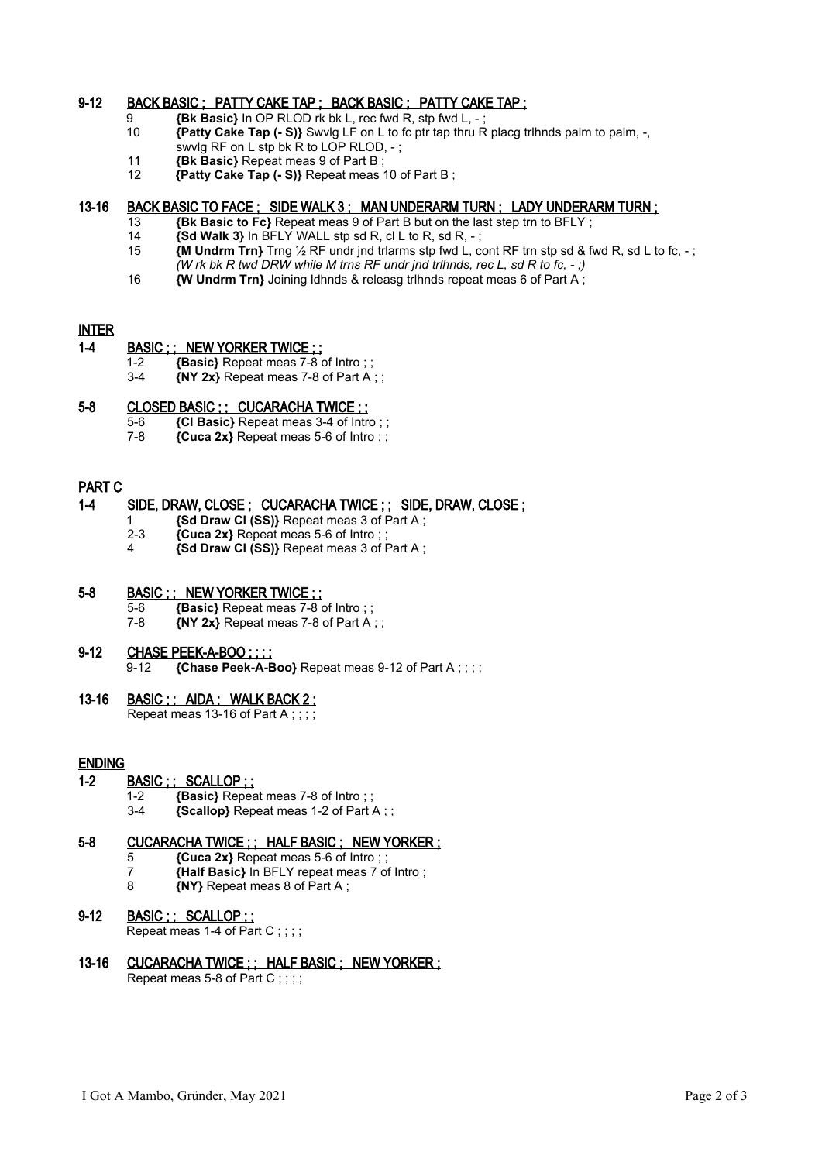# 9-12 BACK BASIC ; PATTY CAKE TAP ; BACK BASIC ; PATTY CAKE TAP ;

- 9 **{Bk Basic}** In OP RLOD rk bk L, rec fwd R, stp fwd L, -<br>10 *{Patty Cake Tap (- S)}* Swylg I F on L to fc ptr tap thru I
- 10 **{Patty Cake Tap (- S)}** Swvlg LF on L to fc ptr tap thru R placg trlhnds palm to palm, -,
- swvlg RF on L stp bk R to LOP RLOD, -;
- 11 **{Bk Basic}** Repeat meas 9 of Part B;<br>12 **{Patty Cake Tap (- S)}** Repeat meas 1
- 12 **{Patty Cake Tap (- S)}** Repeat meas 10 of Part B ;

## 13-16 BACK BASIC TO FACE ; SIDE WALK 3 ; MAN UNDERARM TURN ; LADY UNDERARM TURN ;

- 13 **{Bk Basic to Fc}** Repeat meas 9 of Part B but on the last step trn to BFLY ;
	- 14 **{Sd Walk 3}** In BFLY WALL stp sd R, cl L to R, sd R, ;
- 15 **{M Undrm Trn}** Trng ½ RF undr jnd trlarms stp fwd L, cont RF trn stp sd & fwd R, sd L to fc, ; *(W rk bk R twd DRW while M trns RF undr jnd trlhnds, rec L, sd R to fc, - ;)*
- 16 **{W Undrm Trn}** Joining ldhnds & releasg trlhnds repeat meas 6 of Part A ;

# INTER

# 1-4 BASIC ; ; NEW YORKER TWICE ; ;

- 1-2 **{Basic}** Repeat meas 7-8 of Intro ; ;<br>3-4 *INY 2x}* Repeat meas 7-8 of Part A
- 3-4 **{NY 2x}** Repeat meas 7-8 of Part A ; ;

## 5-8 CLOSED BASIC ; ; CUCARACHA TWICE ; ;

- 5-6 **{Cl Basic}** Repeat meas 3-4 of Intro ; ;
- 7-8 **{Cuca 2x}** Repeat meas 5-6 of Intro ; ;

## PART C

## 1-4 SIDE, DRAW, CLOSE ; CUCARACHA TWICE ; ; SIDE, DRAW, CLOSE ;

- 1 **{Sd Draw Cl (SS)}** Repeat meas 3 of Part A ;
- 2-3 **{Cuca 2x}** Repeat meas 5-6 of Intro ; ;
- 4 **{Sd Draw Cl (SS)}** Repeat meas 3 of Part A ;

## 5-8 BASIC ; ; NEW YORKER TWICE ; ;

5-6 **{Basic}** Repeat meas 7-8 of Intro ; ; 7-8 **{NY 2x}** Repeat meas 7-8 of Part A ; ;

# 9-12 CHASE PEEK-A-BOO ; ; ;

9-12 **{Chase Peek-A-Boo}** Repeat meas 9-12 of Part A ; ; ; ;

## 13-16 BASIC ;; AIDA, WALK BACK 2; Repeat meas 13-16 of Part A ; ; ; ;

# ENDING

- 1-2 BASIC ; ; SCALLOP ; ;
	- 1-2 **{Basic}** Repeat meas 7-8 of Intro ; ;<br>3-4 **{Scallop}** Repeat meas 1-2 of Part
	- 3-4 **{Scallop}** Repeat meas 1-2 of Part A ; ;

# 5-8 CUCARACHA TWICE ; ; HALF BASIC ; NEW YORKER ;

- 5 **{Cuca 2x}** Repeat meas 5-6 of Intro ; ;
- 7 **{Half Basic}** In BFLY repeat meas 7 of Intro ;
- 8 **{NY}** Repeat meas 8 of Part A ;

# 9-12 BASIC ; ; SCALLOP ; ;

Repeat meas 1-4 of Part C ; ; ; ;

# 13-16 CUCARACHA TWICE ; ; HALF BASIC ; NEW YORKER ;

Repeat meas 5-8 of Part C;;;;